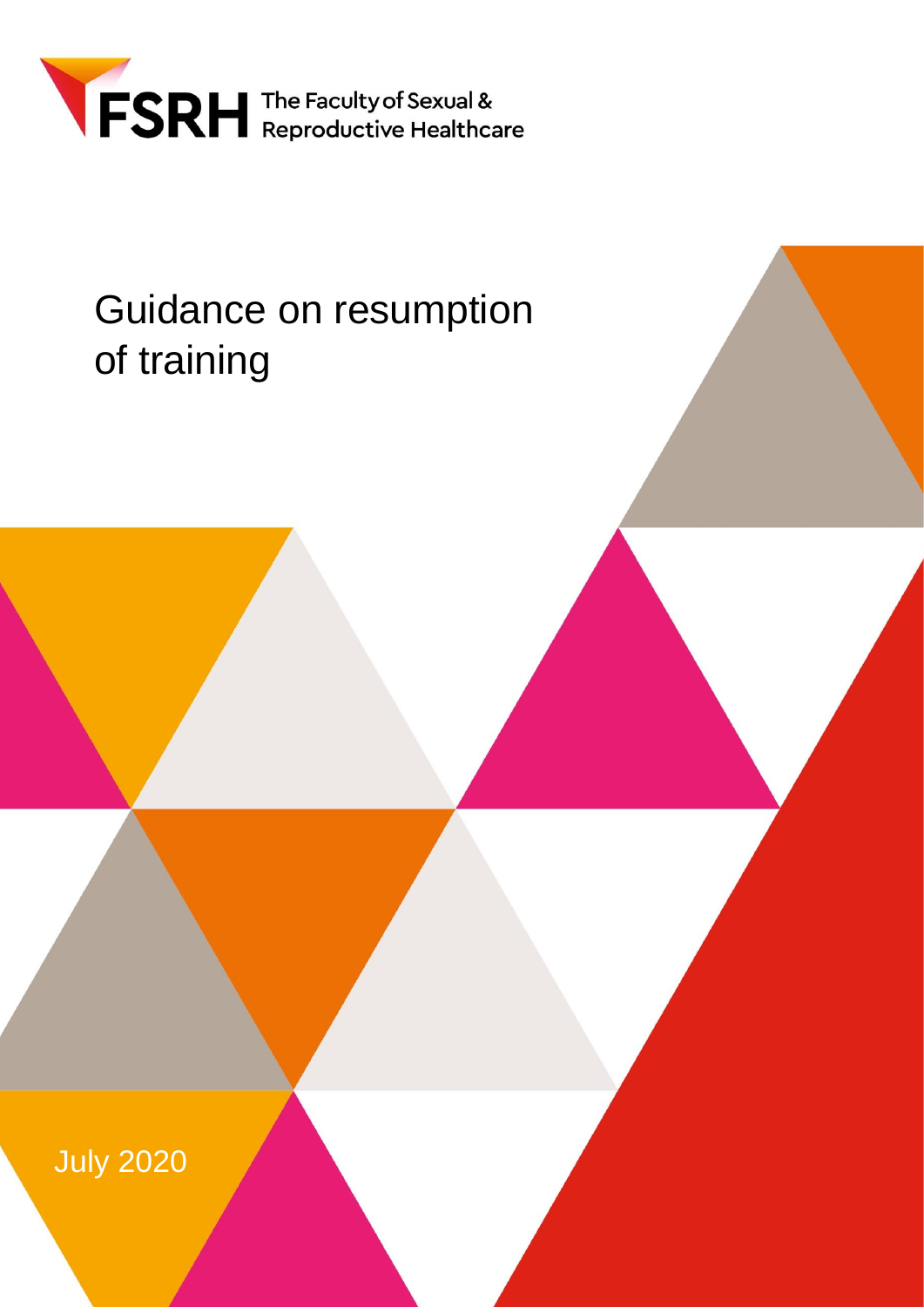

# Guidance on resumption of training

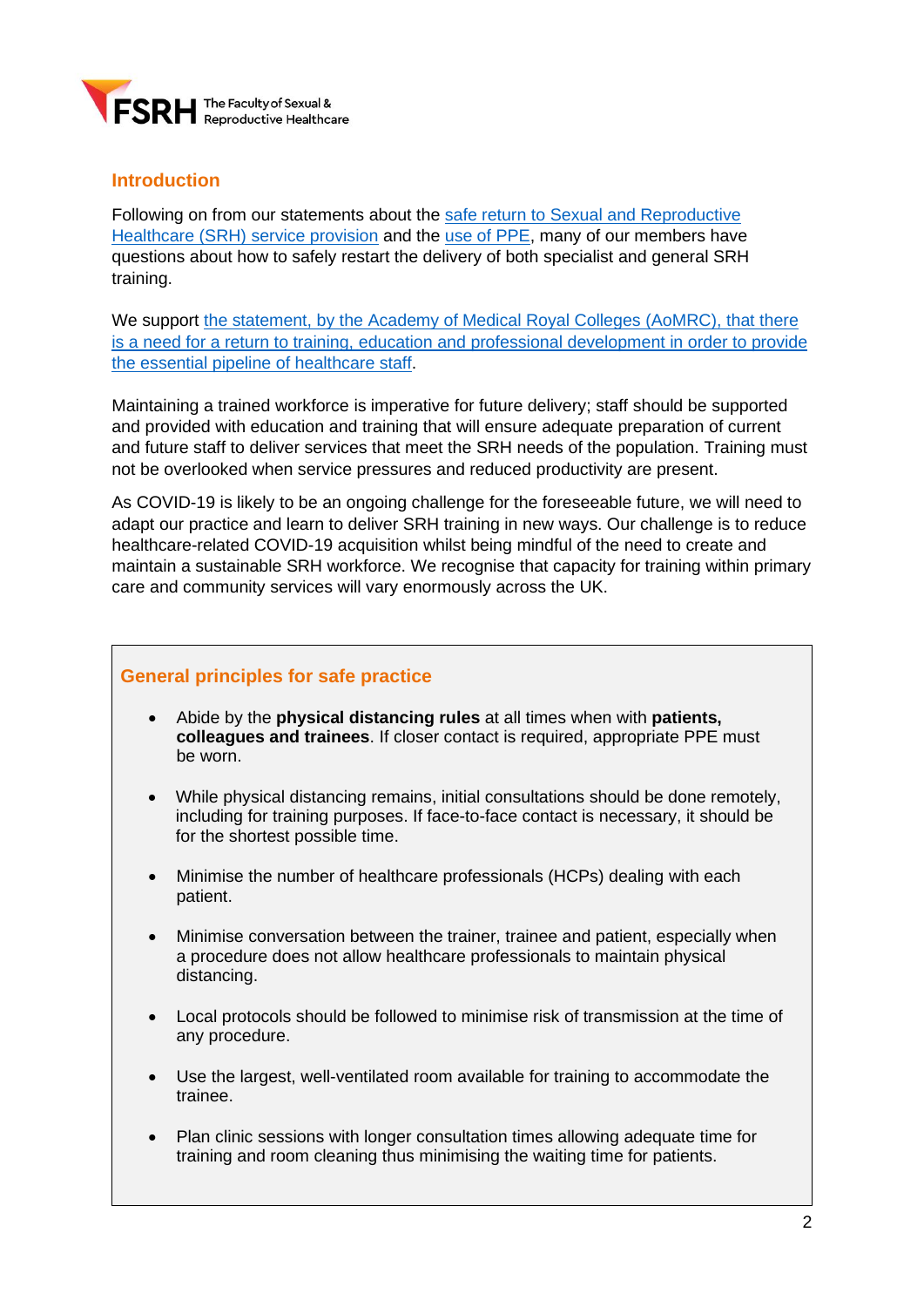

## **Introduction**

Following on from our statements about the [safe return to Sexual and Reproductive](https://www.fsrh.org/news/fsrh-publishes-new-guidance-and-policy-position-restoration-of/)  [Healthcare \(SRH\)](https://www.fsrh.org/news/fsrh-publishes-new-guidance-and-policy-position-restoration-of/) service provision and the [use of PPE,](https://www.fsrh.org/documents/fsrh-guidance-on-ppe-and-the-easing-of-services-when-delivering/?preview=true) many of our members have questions about how to safely restart the delivery of both specialist and general SRH training.

We support [the statement, by the Academy of Medical Royal Colleges \(AoMRC\), that there](https://www.aomrc.org.uk/wp-content/uploads/2020/06/200622_RRR_Medical_Education_Training.pdf)  is a need for a return to training, education and professional [development](https://www.aomrc.org.uk/wp-content/uploads/2020/06/200622_RRR_Medical_Education_Training.pdf) in order to provide the essential pipeline of [healthcare](https://www.aomrc.org.uk/wp-content/uploads/2020/06/200622_RRR_Medical_Education_Training.pdf) staff.

Maintaining a trained workforce is imperative for future delivery; staff should be supported and provided with education and training that will ensure adequate preparation of current and future staff to deliver services that meet the SRH needs of the population. Training must not be overlooked when service pressures and reduced productivity are present.

As COVID-19 is likely to be an ongoing challenge for the foreseeable future, we will need to adapt our practice and learn to deliver SRH training in new ways. Our challenge is to reduce healthcare-related COVID-19 acquisition whilst being mindful of the need to create and maintain a sustainable SRH workforce. We recognise that capacity for training within primary care and community services will vary enormously across the UK.

# **General principles for safe practice**

- Abide by the **physical distancing rules** at all times when with **patients, colleagues and trainees**. If closer contact is required, appropriate PPE must be worn.
- While physical distancing remains, initial consultations should be done remotely, including for training purposes. If face-to-face contact is necessary, it should be for the shortest possible time.
- Minimise the number of healthcare professionals (HCPs) dealing with each patient.
- Minimise conversation between the trainer, trainee and patient, especially when a procedure does not allow healthcare professionals to maintain physical distancing.
- Local protocols should be followed to minimise risk of transmission at the time of any procedure.
- Use the largest, well-ventilated room available for training to accommodate the trainee.
- Plan clinic sessions with longer consultation times allowing adequate time for training and room cleaning thus minimising the waiting time for patients.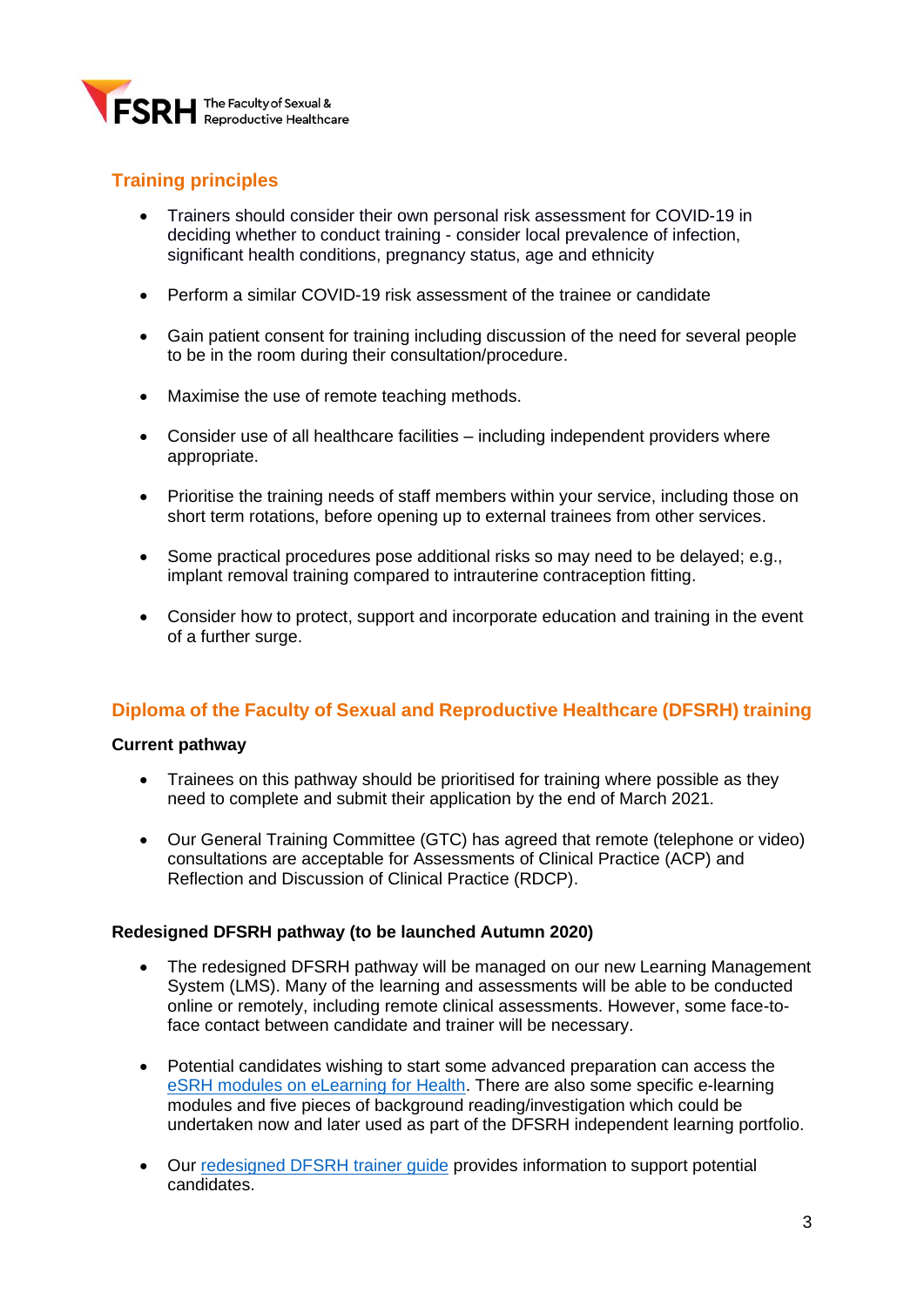

# **Training principles**

- Trainers should consider their own personal risk assessment for COVID-19 in deciding whether to conduct training - consider local prevalence of infection, significant health conditions, pregnancy status, age and ethnicity
- Perform a similar COVID-19 risk assessment of the trainee or candidate
- Gain patient consent for training including discussion of the need for several people to be in the room during their consultation/procedure.
- Maximise the use of remote teaching methods.
- Consider use of all healthcare facilities including independent providers where appropriate.
- Prioritise the training needs of staff members within your service, including those on short term rotations, before opening up to external trainees from other services.
- Some practical procedures pose additional risks so may need to be delayed; e.g., implant removal training compared to intrauterine contraception fitting.
- Consider how to protect, support and incorporate education and training in the event of a further surge.

#### **Diploma of the Faculty of Sexual and Reproductive Healthcare (DFSRH) training**

#### **Current pathway**

- Trainees on this pathway should be prioritised for training where possible as they need to complete and submit their application by the end of March 2021.
- Our General Training Committee (GTC) has agreed that remote (telephone or video) consultations are acceptable for Assessments of Clinical Practice (ACP) and Reflection and Discussion of Clinical Practice (RDCP).

#### **Redesigned DFSRH pathway (to be launched Autumn 2020)**

- The redesigned DFSRH pathway will be managed on our new Learning Management System (LMS). Many of the learning and assessments will be able to be conducted online or remotely, including remote clinical assessments. However, some face-toface contact between candidate and trainer will be necessary.
- Potential candidates wishing to start some advanced preparation can access the [eSRH modules on eLearning for Health.](https://www.e-lfh.org.uk/programmes/sexual-and-reproductive-healthcare.) There are also some specific e-learning modules and five pieces of background reading/investigation which could be undertaken now and later used as part of the DFSRH independent learning portfolio.
- Our [redesigned DFSRH trainer guide](https://www.fsrh.org/documents/redesigned-fsrh-diploma-guide-for-trainers/) provides information to support potential candidates.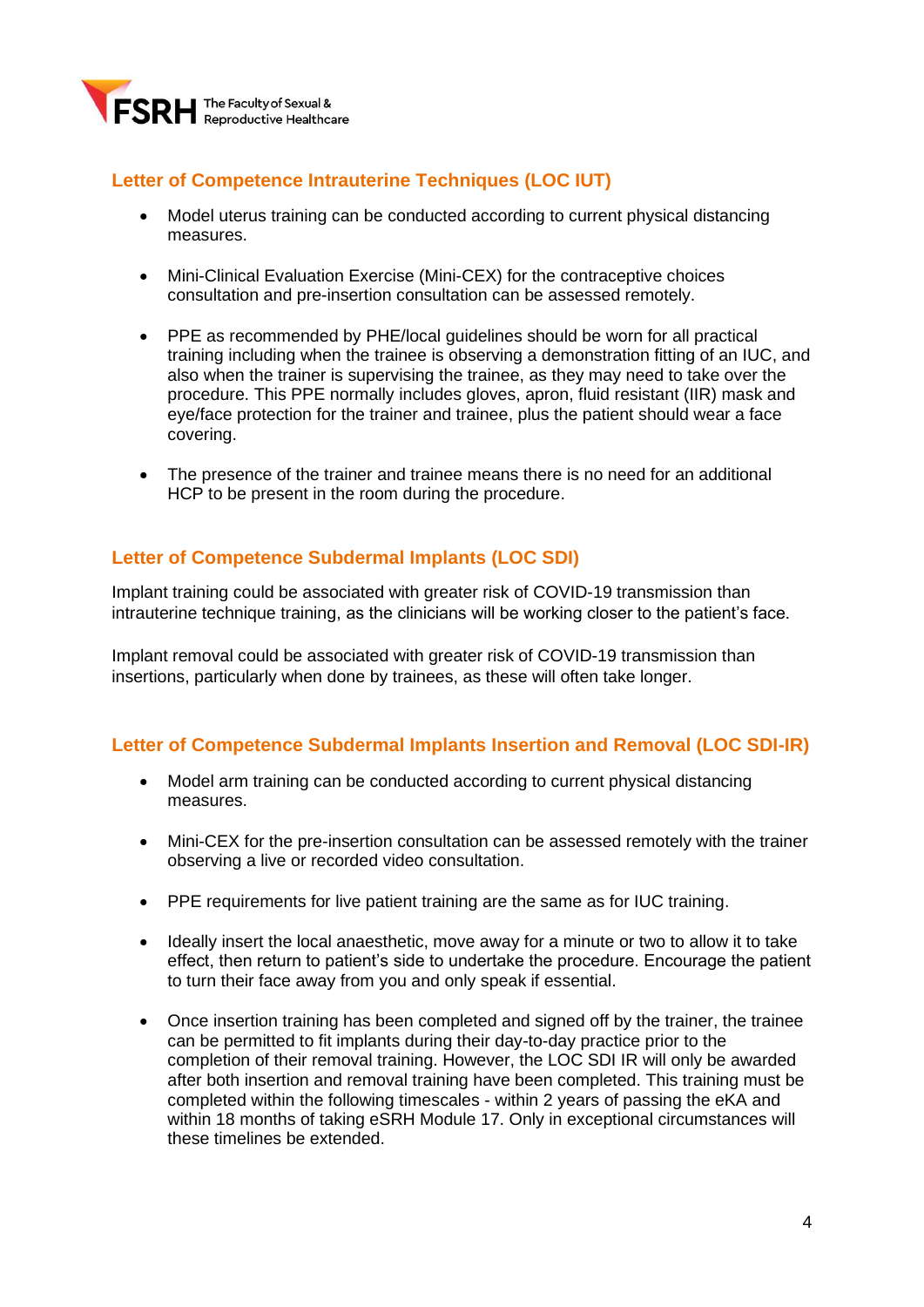

# **Letter of Competence Intrauterine Techniques (LOC IUT)**

- Model uterus training can be conducted according to current physical distancing measures.
- Mini-Clinical Evaluation Exercise (Mini-CEX) for the contraceptive choices consultation and pre-insertion consultation can be assessed remotely.
- PPE as recommended by PHE/local guidelines should be worn for all practical training including when the trainee is observing a demonstration fitting of an IUC, and also when the trainer is supervising the trainee, as they may need to take over the procedure. This PPE normally includes gloves, apron, fluid resistant (IIR) mask and eye/face protection for the trainer and trainee, plus the patient should wear a face covering.
- The presence of the trainer and trainee means there is no need for an additional HCP to be present in the room during the procedure.

## **Letter of Competence Subdermal Implants (LOC SDI)**

Implant training could be associated with greater risk of COVID-19 transmission than intrauterine technique training, as the clinicians will be working closer to the patient's face.

Implant removal could be associated with greater risk of COVID-19 transmission than insertions, particularly when done by trainees, as these will often take longer.

## **Letter of Competence Subdermal Implants Insertion and Removal (LOC SDI-IR)**

- Model arm training can be conducted according to current physical distancing measures.
- Mini-CEX for the pre-insertion consultation can be assessed remotely with the trainer observing a live or recorded video consultation.
- PPE requirements for live patient training are the same as for IUC training.
- Ideally insert the local anaesthetic, move away for a minute or two to allow it to take effect, then return to patient's side to undertake the procedure. Encourage the patient to turn their face away from you and only speak if essential.
- Once insertion training has been completed and signed off by the trainer, the trainee can be permitted to fit implants during their day-to-day practice prior to the completion of their removal training. However, the LOC SDI IR will only be awarded after both insertion and removal training have been completed. This training must be completed within the following timescales - within 2 years of passing the eKA and within 18 months of taking eSRH Module 17. Only in exceptional circumstances will these timelines be extended.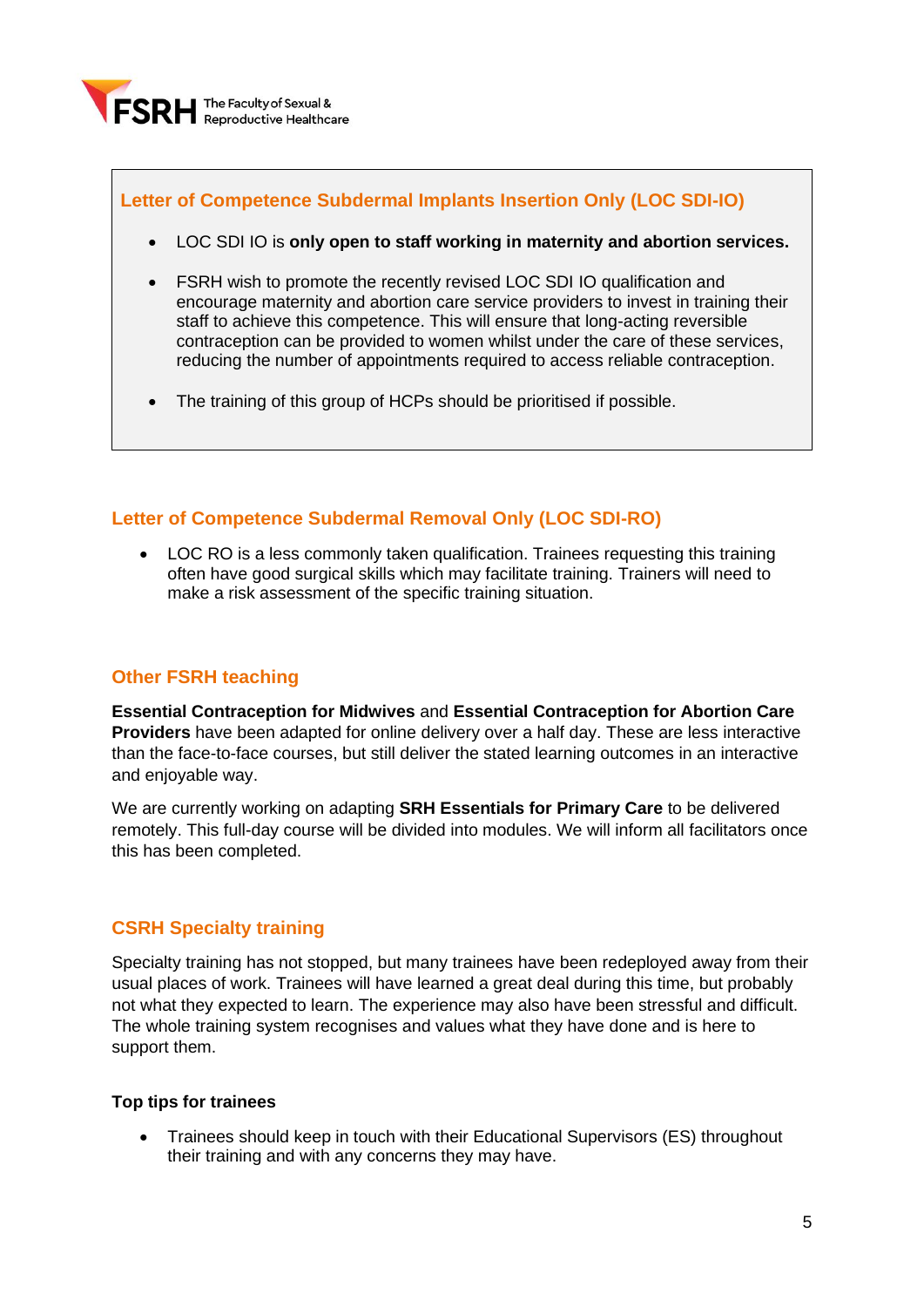

# **Letter of Competence Subdermal Implants Insertion Only (LOC SDI-IO)**

- LOC SDI IO is **only open to staff working in maternity and abortion services.**
- FSRH wish to promote the recently revised LOC SDI IO qualification and encourage maternity and abortion care service providers to invest in training their staff to achieve this competence. This will ensure that long-acting reversible contraception can be provided to women whilst under the care of these services, reducing the number of appointments required to access reliable contraception.
- The training of this group of HCPs should be prioritised if possible.

## **Letter of Competence Subdermal Removal Only (LOC SDI-RO)**

• LOC RO is a less commonly taken qualification. Trainees requesting this training often have good surgical skills which may facilitate training. Trainers will need to make a risk assessment of the specific training situation.

# **Other FSRH teaching**

**Essential Contraception for Midwives** and **Essential Contraception for Abortion Care Providers** have been adapted for online delivery over a half day. These are less interactive than the face-to-face courses, but still deliver the stated learning outcomes in an interactive and enjoyable way.

We are currently working on adapting **SRH Essentials for Primary Care** to be delivered remotely. This full-day course will be divided into modules. We will inform all facilitators once this has been completed.

## **CSRH Specialty training**

Specialty training has not stopped, but many trainees have been redeployed away from their usual places of work. Trainees will have learned a great deal during this time, but probably not what they expected to learn. The experience may also have been stressful and difficult. The whole training system recognises and values what they have done and is here to support them.

#### **Top tips for trainees**

• Trainees should keep in touch with their Educational Supervisors (ES) throughout their training and with any concerns they may have.